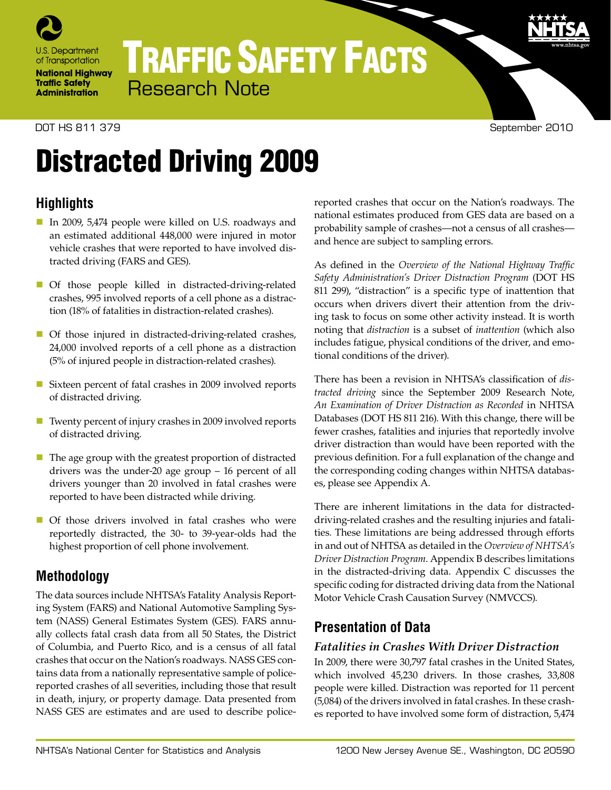

# TRAFFIC SAFETY FACTS Research Note

#### DOT HS 811 379 September 2010

9

# Distracted Driving 2009

# **Highlights**

- In 2009, 5,474 people were killed on U.S. roadways and an estimated additional 448,000 were injured in motor vehicle crashes that were reported to have involved distracted driving (FARS and GES).
- Of those people killed in distracted-driving-related crashes, 995 involved reports of a cell phone as a distraction (18% of fatalities in distraction-related crashes).
- Of those injured in distracted-driving-related crashes, 24,000 involved reports of a cell phone as a distraction (5% of injured people in distraction-related crashes).
- Sixteen percent of fatal crashes in 2009 involved reports of distracted driving.
- Twenty percent of injury crashes in 2009 involved reports of distracted driving.
- $\blacksquare$  The age group with the greatest proportion of distracted drivers was the under-20 age group – 16 percent of all drivers younger than 20 involved in fatal crashes were reported to have been distracted while driving.
- Of those drivers involved in fatal crashes who were reportedly distracted, the 30- to 39-year-olds had the highest proportion of cell phone involvement.

### **Methodology**

The data sources include NHTSA's Fatality Analysis Reporting System (FARS) and National Automotive Sampling System (NASS) General Estimates System (GES). FARS annually collects fatal crash data from all 50 States, the District of Columbia, and Puerto Rico, and is a census of all fatal crashes that occur on the Nation's roadways. NASS GES contains data from a nationally representative sample of policereported crashes of all severities, including those that result in death, injury, or property damage. Data presented from NASS GES are estimates and are used to describe policereported crashes that occur on the Nation's roadways. The national estimates produced from GES data are based on a probability sample of crashes—not a census of all crashes and hence are subject to sampling errors.

As defined in the *Overview of the National Highway Traffic Safety Administration's Driver Distraction Program* (DOT HS 811 299), "distraction" is a specific type of inattention that occurs when drivers divert their attention from the driving task to focus on some other activity instead. It is worth noting that *distraction* is a subset of *inattention* (which also includes fatigue, physical conditions of the driver, and emotional conditions of the driver).

There has been a revision in NHTSA's classification of *distracted driving* since the September 2009 Research Note, *An Examination of Driver Distraction as Recorded* in NHTSA Databases (DOT HS 811 216). With this change, there will be fewer crashes, fatalities and injuries that reportedly involve driver distraction than would have been reported with the previous definition. For a full explanation of the change and the corresponding coding changes within NHTSA databases, please see Appendix A.

There are inherent limitations in the data for distracteddriving-related crashes and the resulting injuries and fatalities. These limitations are being addressed through efforts in and out of NHTSA as detailed in the *Overview of NHTSA's Driver Distraction Program*. Appendix B describes limitations in the distracted-driving data. Appendix C discusses the specific coding for distracted driving data from the National Motor Vehicle Crash Causation Survey (NMVCCS).

# **Presentation of Data**

#### *Fatalities in Crashes With Driver Distraction*

In 2009, there were 30,797 fatal crashes in the United States, which involved 45,230 drivers. In those crashes, 33,808 people were killed. Distraction was reported for 11 percent (5,084) of the drivers involved in fatal crashes. In these crashes reported to have involved some form of distraction, 5,474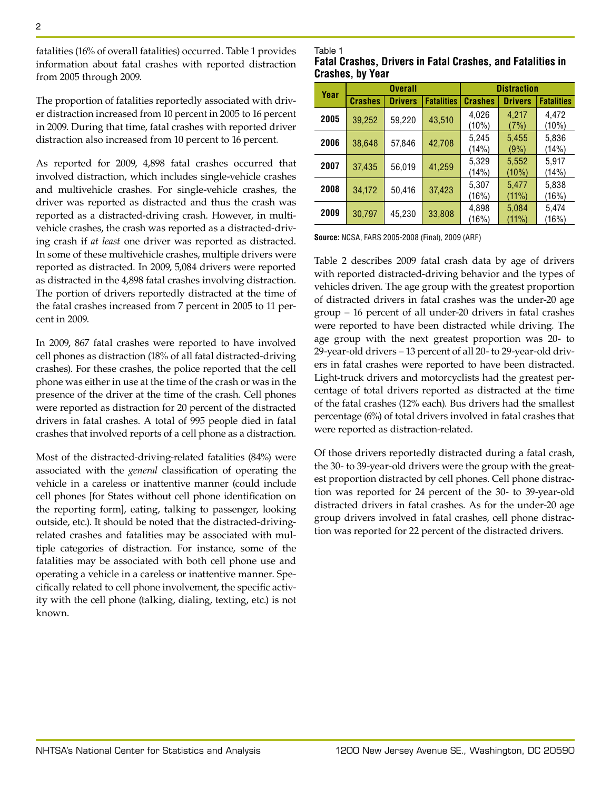fatalities (16% of overall fatalities) occurred. Table 1 provides information about fatal crashes with reported distraction from 2005 through 2009.

The proportion of fatalities reportedly associated with driver distraction increased from 10 percent in 2005 to 16 percent in 2009. During that time, fatal crashes with reported driver distraction also increased from 10 percent to 16 percent.

As reported for 2009, 4,898 fatal crashes occurred that involved distraction, which includes single-vehicle crashes and multivehicle crashes. For single-vehicle crashes, the driver was reported as distracted and thus the crash was reported as a distracted-driving crash. However, in multivehicle crashes, the crash was reported as a distracted-driving crash if *at least* one driver was reported as distracted. In some of these multivehicle crashes, multiple drivers were reported as distracted. In 2009, 5,084 drivers were reported as distracted in the 4,898 fatal crashes involving distraction. The portion of drivers reportedly distracted at the time of the fatal crashes increased from 7 percent in 2005 to 11 percent in 2009.

In 2009, 867 fatal crashes were reported to have involved cell phones as distraction (18% of all fatal distracted-driving crashes). For these crashes, the police reported that the cell phone was either in use at the time of the crash or was in the presence of the driver at the time of the crash. Cell phones were reported as distraction for 20 percent of the distracted drivers in fatal crashes. A total of 995 people died in fatal crashes that involved reports of a cell phone as a distraction.

Most of the distracted-driving-related fatalities (84%) were associated with the *general* classification of operating the vehicle in a careless or inattentive manner (could include cell phones [for States without cell phone identification on the reporting form], eating, talking to passenger, looking outside, etc.). It should be noted that the distracted-drivingrelated crashes and fatalities may be associated with multiple categories of distraction. For instance, some of the fatalities may be associated with both cell phone use and operating a vehicle in a careless or inattentive manner. Specifically related to cell phone involvement, the specific activity with the cell phone (talking, dialing, texting, etc.) is not known.

#### Table 1

|                         | <b>Fatal Crashes, Drivers in Fatal Crashes, and Fatalities in</b> |  |
|-------------------------|-------------------------------------------------------------------|--|
| <b>Crashes, by Year</b> |                                                                   |  |

| Year | <b>Overall</b> |                | <b>Distraction</b> |                |                   |                   |
|------|----------------|----------------|--------------------|----------------|-------------------|-------------------|
|      | <b>Crashes</b> | <b>Drivers</b> | <b>Fatalities</b>  | <b>Crashes</b> | <b>Drivers</b>    | <b>Fatalities</b> |
| 2005 | 39,252         | 59,220         | 43,510             | 4,026<br>(10%) | 4,217<br>(7%)     | 4.472<br>$(10\%)$ |
| 2006 | 38,648         | 57,846         | 42,708             | 5,245<br>(14%) | 5,455<br>(9%)     | 5,836<br>(14%)    |
| 2007 | 37,435         | 56,019         | 41,259             | 5,329<br>(14%) | 5,552<br>$(10\%)$ | 5.917<br>(14%)    |
| 2008 | 34,172         | 50,416         | 37,423             | 5,307<br>(16%) | 5,477<br>$(11\%)$ | 5,838<br>(16%)    |
| 2009 | 30,797         | 45,230         | 33,808             | 4,898<br>(16%) | 5,084<br>(11%)    | 5,474<br>(16%)    |

**Source:** NCSA, FARS 2005-2008 (Final), 2009 (ARF)

Table 2 describes 2009 fatal crash data by age of drivers with reported distracted-driving behavior and the types of vehicles driven. The age group with the greatest proportion of distracted drivers in fatal crashes was the under-20 age group – 16 percent of all under-20 drivers in fatal crashes were reported to have been distracted while driving. The age group with the next greatest proportion was 20- to 29-year-old drivers – 13 percent of all 20- to 29-year-old drivers in fatal crashes were reported to have been distracted. Light-truck drivers and motorcyclists had the greatest percentage of total drivers reported as distracted at the time of the fatal crashes (12% each). Bus drivers had the smallest percentage (6%) of total drivers involved in fatal crashes that were reported as distraction-related.

Of those drivers reportedly distracted during a fatal crash, the 30- to 39-year-old drivers were the group with the greatest proportion distracted by cell phones. Cell phone distraction was reported for 24 percent of the 30- to 39-year-old distracted drivers in fatal crashes. As for the under-20 age group drivers involved in fatal crashes, cell phone distraction was reported for 22 percent of the distracted drivers.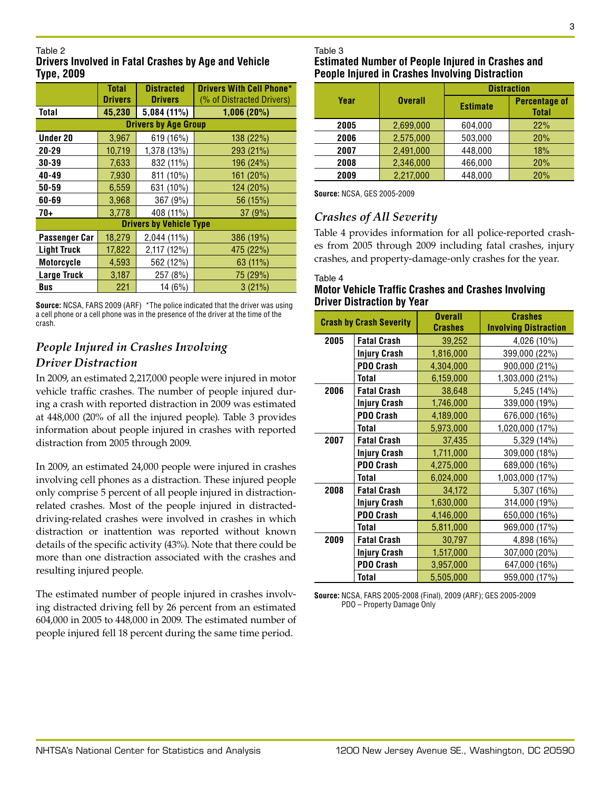#### Table 2

#### **Drivers Involved in Fatal Crashes by Age and Vehicle Type, 2009**

|                      | <b>Total</b>   | <b>Distracted</b>              | <b>Drivers With Cell Phone*</b> |
|----------------------|----------------|--------------------------------|---------------------------------|
|                      | <b>Drivers</b> | <b>Drivers</b>                 | (% of Distracted Drivers)       |
| Total                | 45,230         | 5,084 (11%)                    | 1,006(20%)                      |
|                      |                | <b>Drivers by Age Group</b>    |                                 |
| <b>Under 20</b>      | 3,967          | 619 (16%)                      | 138(22%)                        |
| $20 - 29$            | 10,719         | 1,378 (13%)                    | 293 (21%)                       |
| $30 - 39$            | 7,633          | 832 (11%)                      | 196 (24%)                       |
| 40-49                | 7,930          | 811 (10%)                      | 161 (20%)                       |
| 50-59                | 6,559          | 631 (10%)                      | 124 (20%)                       |
| 60-69                | 3,968          | 367 (9%)                       | 56 (15%)                        |
| $70+$                | 3,778          | 408 (11%)                      | 37(9%)                          |
|                      |                | <b>Drivers by Vehicle Type</b> |                                 |
| <b>Passenger Car</b> | 18,279         | 2,044 (11%)                    | 386(19%)                        |
| <b>Light Truck</b>   | 17,822         | 2,117 (12%)                    | 475 (22%)                       |
| <b>Motorcycle</b>    | 4,593          | 562 (12%)                      | 63 (11%)                        |
| <b>Large Truck</b>   | 3,187          | 257 (8%)                       | 75 (29%)                        |
| <b>Bus</b>           | 221            | 14 (6%)                        | 3(21%)                          |

**Source:** NCSA, FARS 2009 (ARF) \*The police indicated that the driver was using a cell phone or a cell phone was in the presence of the driver at the time of the crash.

### *People Injured in Crashes Involving Driver Distraction*

In 2009, an estimated 2,217,000 people were injured in motor vehicle traffic crashes. The number of people injured during a crash with reported distraction in 2009 was estimated at 448,000 (20% of all the injured people). Table 3 provides information about people injured in crashes with reported distraction from 2005 through 2009.

In 2009, an estimated 24,000 people were injured in crashes involving cell phones as a distraction. These injured people only comprise 5 percent of all people injured in distractionrelated crashes. Most of the people injured in distracteddriving-related crashes were involved in crashes in which distraction or inattention was reported without known details of the specific activity (43%). Note that there could be more than one distraction associated with the crashes and resulting injured people.

The estimated number of people injured in crashes involving distracted driving fell by 26 percent from an estimated 604,000 in 2005 to 448,000 in 2009. The estimated number of people injured fell 18 percent during the same time period.

# Table 3

#### **Estimated Number of People Injured in Crashes and People Injured in Crashes Involving Distraction**

|      |                | <b>Distraction</b> |                                      |  |
|------|----------------|--------------------|--------------------------------------|--|
| Year | <b>Overall</b> | <b>Estimate</b>    | <b>Percentage of</b><br><b>Total</b> |  |
| 2005 | 2,699,000      | 604,000            | 22%                                  |  |
| 2006 | 2,575,000      | 503,000            | 20%                                  |  |
| 2007 | 2,491,000      | 448,000            | 18%                                  |  |
| 2008 | 2,346,000      | 466,000            | 20%                                  |  |
| 2009 | 2,217,000      | 448,000            | 20%                                  |  |

**Source:** NCSA, GES 2005-2009

#### *Crashes of All Severity*

Table 4 provides information for all police-reported crashes from 2005 through 2009 including fatal crashes, injury crashes, and property-damage-only crashes for the year.

#### Table 4

#### **Motor Vehicle Traffic Crashes and Crashes Involving Driver Distraction by Year**

| <b>Crash by Crash Severity</b> |                     | <b>Overall</b><br><b>Crashes</b> | <b>Crashes</b><br><b>Involving Distraction</b> |
|--------------------------------|---------------------|----------------------------------|------------------------------------------------|
| 2005                           | <b>Fatal Crash</b>  | 39,252                           | 4,026 (10%)                                    |
|                                | Injury Crash        | 1,816,000                        | 399,000 (22%)                                  |
|                                | PDO Crash           | 4,304,000                        | 900,000 (21%)                                  |
|                                | Total               | 6,159,000                        | 1,303,000 (21%)                                |
| 2006                           | <b>Fatal Crash</b>  | 38,648                           | 5,245 (14%)                                    |
|                                | <b>Injury Crash</b> | 1,746,000                        | 339,000 (19%)                                  |
|                                | <b>PDO Crash</b>    | 4,189,000                        | 676,000 (16%)                                  |
|                                | <b>Total</b>        | 5,973,000                        | 1,020,000 (17%)                                |
| 2007                           | <b>Fatal Crash</b>  | 37,435                           | 5,329 (14%)                                    |
|                                | <b>Injury Crash</b> | 1,711,000                        | 309,000 (18%)                                  |
|                                | PDO Crash           | 4,275,000                        | 689,000 (16%)                                  |
|                                | Total               | 6,024,000                        | 1,003,000 (17%)                                |
| 2008                           | <b>Fatal Crash</b>  | 34,172                           | 5,307 (16%)                                    |
|                                | <b>Injury Crash</b> | 1,630,000                        | 314,000 (19%)                                  |
|                                | PDO Crash           | 4,146,000                        | 650,000 (16%)                                  |
|                                | <b>Total</b>        | 5,811,000                        | 969,000 (17%)                                  |
| 2009                           | <b>Fatal Crash</b>  | 30,797                           | 4,898 (16%)                                    |
|                                | <b>Injury Crash</b> | 1,517,000                        | 307,000 (20%)                                  |
|                                | PDO Crash           | 3,957,000                        | 647,000 (16%)                                  |
|                                | Total               | 5,505,000                        | 959,000 (17%)                                  |

**Source:** NCSA, FARS 2005-2008 (Final), 2009 (ARF); GES 2005-2009 PDO – Property Damage Only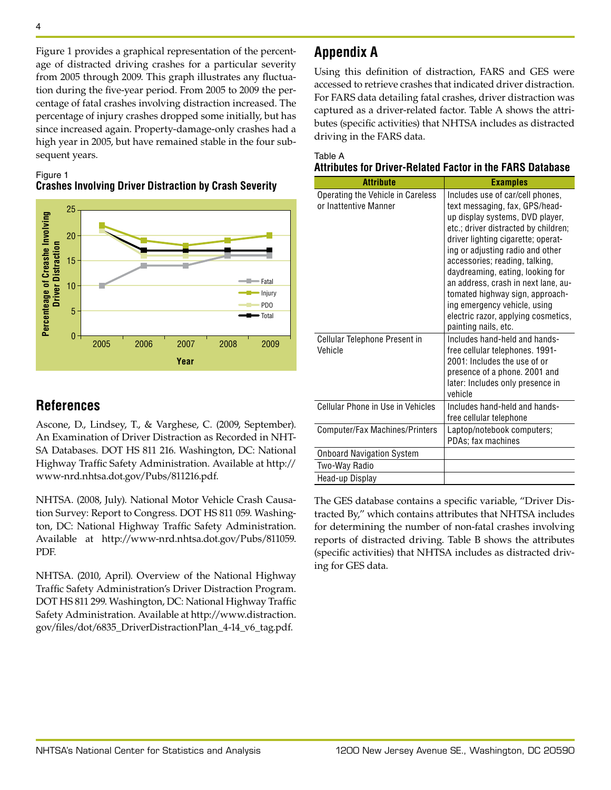Figure 1 provides a graphical representation of the percentage of distracted driving crashes for a particular severity from 2005 through 2009. This graph illustrates any fluctuation during the five-year period. From 2005 to 2009 the percentage of fatal crashes involving distraction increased. The percentage of injury crashes dropped some initially, but has since increased again. Property-damage-only crashes had a high year in 2005, but have remained stable in the four subsequent years.

#### Figure 1 **Crashes Involving Driver Distraction by Crash Severity**



# **References**

Ascone, D., Lindsey, T., & Varghese, C. (2009, September). An Examination of Driver Distraction as Recorded in NHT-SA Databases. DOT HS 811 216. Washington, DC: National Highway Traffic Safety Administration. Available at [http://](http://www-nrd.nhtsa.dot.gov/Pubs/811216.pdf) [www-nrd.nhtsa.dot.gov/Pubs/811216.pdf.](http://www-nrd.nhtsa.dot.gov/Pubs/811216.pdf)

NHTSA. (2008, July). National Motor Vehicle Crash Causation Survey: Report to Congress. DOT HS 811 059. Washington, DC: National Highway Traffic Safety Administration. Available at [http://www-nrd.nhtsa.dot.gov/Pubs/811059.](http://www-nrd.nhtsa.dot.gov/Pubs/811059.PDF) [PDF.](http://www-nrd.nhtsa.dot.gov/Pubs/811059.PDF)

NHTSA. (2010, April). Overview of the National Highway Traffic Safety Administration's Driver Distraction Program. DOT HS 811 299. Washington, DC: National Highway Traffic Safety Administration. Available at [http://www.distraction.](http://www.distraction.gov/files/dot/6835_DriverDistractionPlan_4-14_v6_tag.pdf) [gov/files/dot/6835\\_DriverDistractionPlan\\_4-14\\_v6\\_tag.pdf](http://www.distraction.gov/files/dot/6835_DriverDistractionPlan_4-14_v6_tag.pdf).

# **Appendix A**

Using this definition of distraction, FARS and GES were accessed to retrieve crashes that indicated driver distraction. For FARS data detailing fatal crashes, driver distraction was captured as a driver-related factor. Table A shows the attributes (specific activities) that NHTSA includes as distracted driving in the FARS data.

| Table A                                                          |  |
|------------------------------------------------------------------|--|
| <b>Attributes for Driver-Related Factor in the FARS Database</b> |  |

| <b>Attribute</b>                                           | <b>Examples</b>                                                                                                                                                                                                                                                                                                                                                                                                                                                        |
|------------------------------------------------------------|------------------------------------------------------------------------------------------------------------------------------------------------------------------------------------------------------------------------------------------------------------------------------------------------------------------------------------------------------------------------------------------------------------------------------------------------------------------------|
| Operating the Vehicle in Careless<br>or Inattentive Manner | Includes use of car/cell phones,<br>text messaging, fax, GPS/head-<br>up display systems, DVD player,<br>etc.; driver distracted by children;<br>driver lighting cigarette; operat-<br>ing or adjusting radio and other<br>accessories; reading, talking,<br>daydreaming, eating, looking for<br>an address, crash in next lane, au-<br>tomated highway sign, approach-<br>ing emergency vehicle, using<br>electric razor, applying cosmetics,<br>painting nails, etc. |
| Cellular Telephone Present in<br>Vehicle                   | Includes hand-held and hands-<br>free cellular telephones. 1991-<br>2001: Includes the use of or<br>presence of a phone. 2001 and<br>later: Includes only presence in<br>vehicle                                                                                                                                                                                                                                                                                       |
| Cellular Phone in Use in Vehicles                          | Includes hand-held and hands-<br>free cellular telephone                                                                                                                                                                                                                                                                                                                                                                                                               |
| Computer/Fax Machines/Printers                             | Laptop/notebook computers;<br>PDAs; fax machines                                                                                                                                                                                                                                                                                                                                                                                                                       |
| <b>Onboard Navigation System</b>                           |                                                                                                                                                                                                                                                                                                                                                                                                                                                                        |
| Two-Way Radio                                              |                                                                                                                                                                                                                                                                                                                                                                                                                                                                        |
| Head-up Display                                            |                                                                                                                                                                                                                                                                                                                                                                                                                                                                        |

The GES database contains a specific variable, "Driver Distracted By," which contains attributes that NHTSA includes for determining the number of non-fatal crashes involving reports of distracted driving. Table B shows the attributes (specific activities) that NHTSA includes as distracted driving for GES data.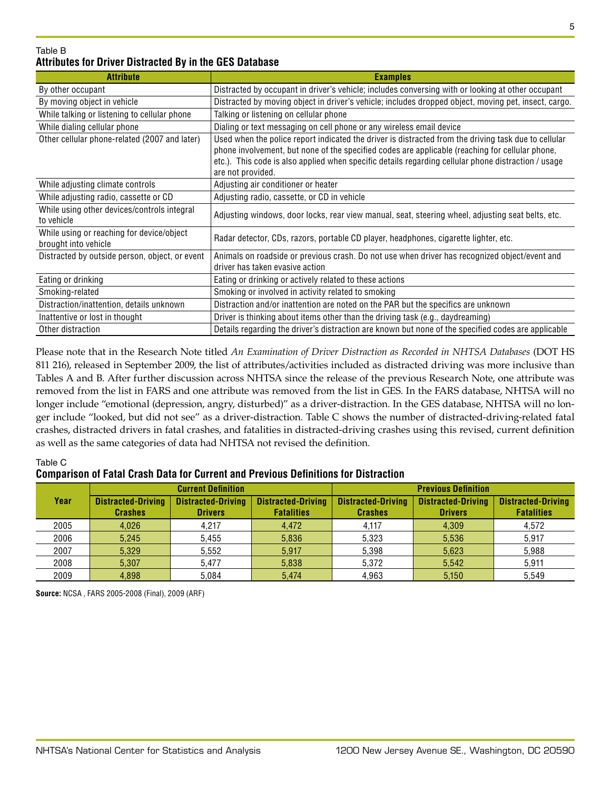#### Table B **Attributes for Driver Distracted By in the GES Database**

| <b>Attribute</b>                                                  | <b>Examples</b>                                                                                                                                                                                                                                                                                                                     |
|-------------------------------------------------------------------|-------------------------------------------------------------------------------------------------------------------------------------------------------------------------------------------------------------------------------------------------------------------------------------------------------------------------------------|
| By other occupant                                                 | Distracted by occupant in driver's vehicle; includes conversing with or looking at other occupant                                                                                                                                                                                                                                   |
| By moving object in vehicle                                       | Distracted by moving object in driver's vehicle; includes dropped object, moving pet, insect, cargo.                                                                                                                                                                                                                                |
| While talking or listening to cellular phone                      | Talking or listening on cellular phone                                                                                                                                                                                                                                                                                              |
| While dialing cellular phone                                      | Dialing or text messaging on cell phone or any wireless email device                                                                                                                                                                                                                                                                |
| Other cellular phone-related (2007 and later)                     | Used when the police report indicated the driver is distracted from the driving task due to cellular<br>phone involvement, but none of the specified codes are applicable (reaching for cellular phone,<br>etc.). This code is also applied when specific details regarding cellular phone distraction / usage<br>are not provided. |
| While adjusting climate controls                                  | Adjusting air conditioner or heater                                                                                                                                                                                                                                                                                                 |
| While adjusting radio, cassette or CD                             | Adjusting radio, cassette, or CD in vehicle                                                                                                                                                                                                                                                                                         |
| While using other devices/controls integral<br>to vehicle         | Adjusting windows, door locks, rear view manual, seat, steering wheel, adjusting seat belts, etc.                                                                                                                                                                                                                                   |
| While using or reaching for device/object<br>brought into vehicle | Radar detector, CDs, razors, portable CD player, headphones, cigarette lighter, etc.                                                                                                                                                                                                                                                |
| Distracted by outside person, object, or event                    | Animals on roadside or previous crash. Do not use when driver has recognized object/event and<br>driver has taken evasive action                                                                                                                                                                                                    |
| Eating or drinking                                                | Eating or drinking or actively related to these actions                                                                                                                                                                                                                                                                             |
| Smoking-related                                                   | Smoking or involved in activity related to smoking                                                                                                                                                                                                                                                                                  |
| Distraction/inattention, details unknown                          | Distraction and/or inattention are noted on the PAR but the specifics are unknown                                                                                                                                                                                                                                                   |
| Inattentive or lost in thought                                    | Driver is thinking about items other than the driving task (e.g., daydreaming)                                                                                                                                                                                                                                                      |
| Other distraction                                                 | Details regarding the driver's distraction are known but none of the specified codes are applicable                                                                                                                                                                                                                                 |

Please note that in the Research Note titled *An Examination of Driver Distraction as Recorded in NHTSA Databases* (DOT HS 811 216), released in September 2009, the list of attributes/activities included as distracted driving was more inclusive than Tables A and B. After further discussion across NHTSA since the release of the previous Research Note, one attribute was removed from the list in FARS and one attribute was removed from the list in GES. In the FARS database, NHTSA will no longer include "emotional (depression, angry, disturbed)" as a driver-distraction. In the GES database, NHTSA will no longer include "looked, but did not see" as a driver-distraction. Table C shows the number of distracted-driving-related fatal crashes, distracted drivers in fatal crashes, and fatalities in distracted-driving crashes using this revised, current definition as well as the same categories of data had NHTSA not revised the definition.

#### Table C

#### **Comparison of Fatal Crash Data for Current and Previous Definitions for Distraction**

|      |                                             | <b>Current Definition</b>                   |                                                |                                             | <b>Previous Definition</b>                  |                                                |
|------|---------------------------------------------|---------------------------------------------|------------------------------------------------|---------------------------------------------|---------------------------------------------|------------------------------------------------|
| Year | <b>Distracted-Driving</b><br><b>Crashes</b> | <b>Distracted-Driving</b><br><b>Drivers</b> | <b>Distracted-Driving</b><br><b>Fatalities</b> | <b>Distracted-Driving</b><br><b>Crashes</b> | <b>Distracted-Driving</b><br><b>Drivers</b> | <b>Distracted-Driving</b><br><b>Fatalities</b> |
| 2005 | 4,026                                       | 4.217                                       | 4.472                                          | 4.117                                       | 4,309                                       | 4.572                                          |
| 2006 | 5.245                                       | 5.455                                       | 5,836                                          | 5.323                                       | 5,536                                       | 5.917                                          |
| 2007 | 5,329                                       | 5.552                                       | 5.917                                          | 5,398                                       | 5,623                                       | 5,988                                          |
| 2008 | 5,307                                       | 5.477                                       | 5,838                                          | 5,372                                       | 5,542                                       | 5,911                                          |
| 2009 | 4,898                                       | 5.084                                       | 5.474                                          | 4.963                                       | 5,150                                       | 5.549                                          |

**Source:** NCSA , FARS 2005-2008 (Final), 2009 (ARF)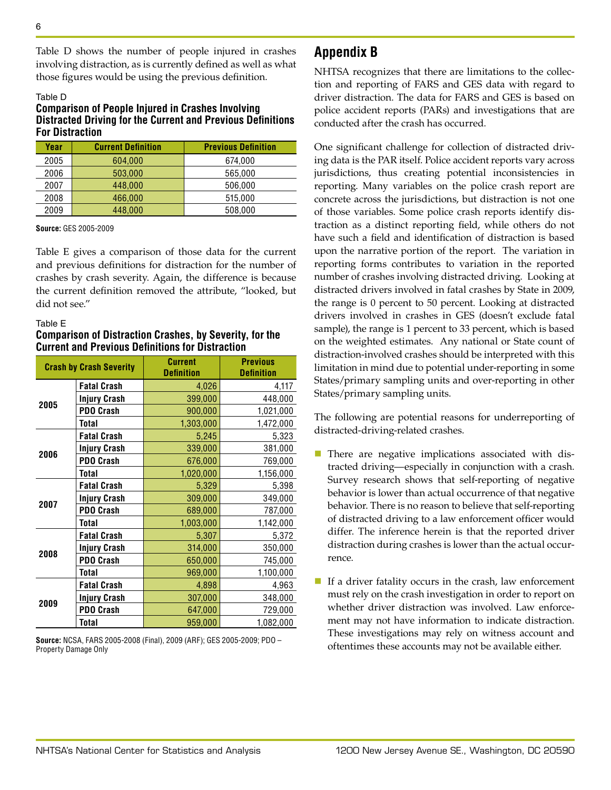Table D shows the number of people injured in crashes involving distraction, as is currently defined as well as what those figures would be using the previous definition.

#### Table D **Comparison of People Injured in Crashes Involving Distracted Driving for the Current and Previous Definitions For Distraction**

| Year | <b>Current Definition</b> | <b>Previous Definition</b> |
|------|---------------------------|----------------------------|
| 2005 | 604.000                   | 674.000                    |
| 2006 | 503.000                   | 565.000                    |
| 2007 | 448,000                   | 506.000                    |
| 2008 | 466,000                   | 515,000                    |
| 2009 | 448,000                   | 508.000                    |

**Source:** GES 2005-2009

Table E gives a comparison of those data for the current and previous definitions for distraction for the number of crashes by crash severity. Again, the difference is because the current definition removed the attribute, "looked, but did not see."

#### Table E

#### **Comparison of Distraction Crashes, by Severity, for the Current and Previous Definitions for Distraction**

|      | <b>Crash by Crash Severity</b> | <b>Current</b><br><b>Definition</b> | <b>Previous</b><br><b>Definition</b> |
|------|--------------------------------|-------------------------------------|--------------------------------------|
|      | <b>Fatal Crash</b>             | 4,026                               | 4,117                                |
| 2005 | <b>Injury Crash</b>            | 399,000                             | 448,000                              |
|      | <b>PDO Crash</b>               | 900,000                             | 1,021,000                            |
|      | <b>Total</b>                   | 1,303,000                           | 1,472,000                            |
|      | <b>Fatal Crash</b>             | 5,245                               | 5,323                                |
|      | <b>Injury Crash</b>            | 339,000                             | 381,000                              |
| 2006 | <b>PDO Crash</b>               | 676,000                             | 769,000                              |
|      | Total                          | 1,020,000                           | 1,156,000                            |
|      | <b>Fatal Crash</b>             | 5,329                               | 5,398                                |
| 2007 | <b>Injury Crash</b>            | 309,000                             | 349,000                              |
|      | <b>PDO Crash</b>               | 689,000                             | 787,000                              |
|      | <b>Total</b>                   | 1,003,000                           | 1,142,000                            |
|      | <b>Fatal Crash</b>             | 5,307                               | 5,372                                |
| 2008 | <b>Injury Crash</b>            | 314,000                             | 350,000                              |
|      | <b>PDO Crash</b>               | 650,000                             | 745,000                              |
|      | Total                          | 969,000                             | 1,100,000                            |
|      | <b>Fatal Crash</b>             | 4,898                               | 4,963                                |
| 2009 | <b>Injury Crash</b>            | 307,000                             | 348,000                              |
|      | <b>PDO Crash</b>               | 647,000                             | 729,000                              |
|      | <b>Total</b>                   | 959,000                             | 1,082,000                            |

**Source:** NCSA, FARS 2005-2008 (Final), 2009 (ARF); GES 2005-2009; PDO – Property Damage Only

# **Appendix B**

NHTSA recognizes that there are limitations to the collection and reporting of FARS and GES data with regard to driver distraction. The data for FARS and GES is based on police accident reports (PARs) and investigations that are conducted after the crash has occurred.

One significant challenge for collection of distracted driving data is the PAR itself. Police accident reports vary across jurisdictions, thus creating potential inconsistencies in reporting. Many variables on the police crash report are concrete across the jurisdictions, but distraction is not one of those variables. Some police crash reports identify distraction as a distinct reporting field, while others do not have such a field and identification of distraction is based upon the narrative portion of the report. The variation in reporting forms contributes to variation in the reported number of crashes involving distracted driving. Looking at distracted drivers involved in fatal crashes by State in 2009, the range is 0 percent to 50 percent. Looking at distracted drivers involved in crashes in GES (doesn't exclude fatal sample), the range is 1 percent to 33 percent, which is based on the weighted estimates. Any national or State count of distraction-involved crashes should be interpreted with this limitation in mind due to potential under-reporting in some States/primary sampling units and over-reporting in other States/primary sampling units.

The following are potential reasons for underreporting of distracted-driving-related crashes.

- $\blacksquare$  There are negative implications associated with distracted driving—especially in conjunction with a crash. Survey research shows that self-reporting of negative behavior is lower than actual occurrence of that negative behavior. There is no reason to believe that self-reporting of distracted driving to a law enforcement officer would differ. The inference herein is that the reported driver distraction during crashes is lower than the actual occurrence.
- If a driver fatality occurs in the crash, law enforcement must rely on the crash investigation in order to report on whether driver distraction was involved. Law enforcement may not have information to indicate distraction. These investigations may rely on witness account and oftentimes these accounts may not be available either.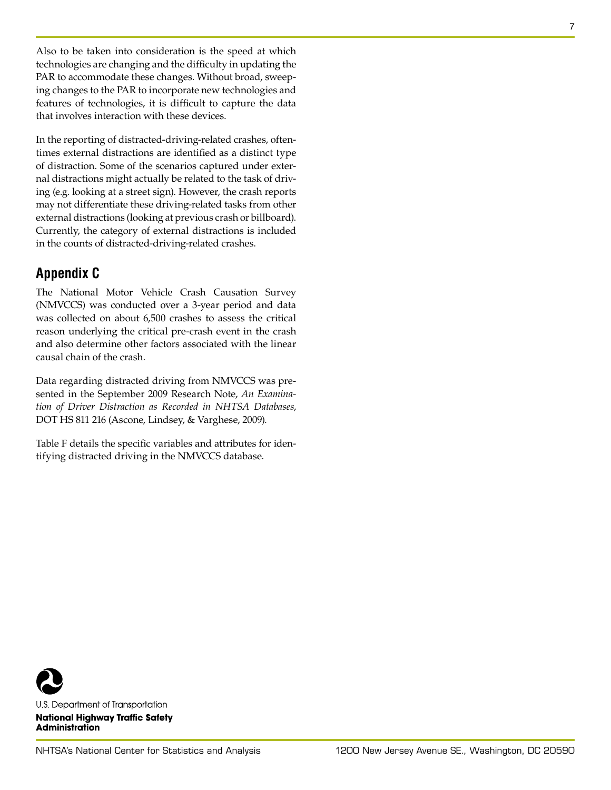Also to be taken into consideration is the speed at which technologies are changing and the difficulty in updating the PAR to accommodate these changes. Without broad, sweeping changes to the PAR to incorporate new technologies and features of technologies, it is difficult to capture the data that involves interaction with these devices.

In the reporting of distracted-driving-related crashes, oftentimes external distractions are identified as a distinct type of distraction. Some of the scenarios captured under external distractions might actually be related to the task of driving (e.g. looking at a street sign). However, the crash reports may not differentiate these driving-related tasks from other external distractions (looking at previous crash or billboard). Currently, the category of external distractions is included in the counts of distracted-driving-related crashes.

# **Appendix C**

The National Motor Vehicle Crash Causation Survey (NMVCCS) was conducted over a 3-year period and data was collected on about 6,500 crashes to assess the critical reason underlying the critical pre-crash event in the crash and also determine other factors associated with the linear causal chain of the crash.

Data regarding distracted driving from NMVCCS was presented in the September 2009 Research Note, *An Examination of Driver Distraction as Recorded in NHTSA Databases*, DOT HS 811 216 (Ascone, Lindsey, & Varghese, 2009).

Table F details the specific variables and attributes for identifying distracted driving in the NMVCCS database.